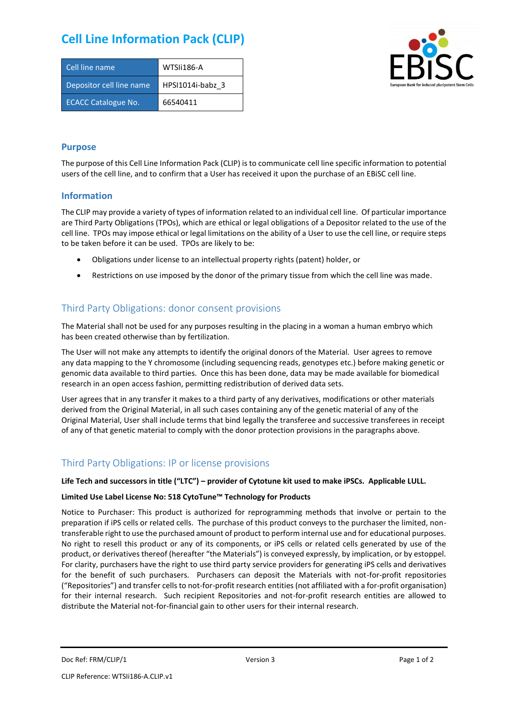# **Cell Line Information Pack (CLIP)**

| Cell line name             | WTSIi186-A       |
|----------------------------|------------------|
| Depositor cell line name   | HPSI1014i-babz 3 |
| <b>ECACC Catalogue No.</b> | 66540411         |



#### **Purpose**

The purpose of this Cell Line Information Pack (CLIP) is to communicate cell line specific information to potential users of the cell line, and to confirm that a User has received it upon the purchase of an EBiSC cell line.

#### **Information**

The CLIP may provide a variety of types of information related to an individual cell line. Of particular importance are Third Party Obligations (TPOs), which are ethical or legal obligations of a Depositor related to the use of the cell line. TPOs may impose ethical or legal limitations on the ability of a User to use the cell line, or require steps to be taken before it can be used. TPOs are likely to be:

- Obligations under license to an intellectual property rights (patent) holder, or
- Restrictions on use imposed by the donor of the primary tissue from which the cell line was made.

## Third Party Obligations: donor consent provisions

The Material shall not be used for any purposes resulting in the placing in a woman a human embryo which has been created otherwise than by fertilization.

The User will not make any attempts to identify the original donors of the Material. User agrees to remove any data mapping to the Y chromosome (including sequencing reads, genotypes etc.) before making genetic or genomic data available to third parties. Once this has been done, data may be made available for biomedical research in an open access fashion, permitting redistribution of derived data sets.

User agrees that in any transfer it makes to a third party of any derivatives, modifications or other materials derived from the Original Material, in all such cases containing any of the genetic material of any of the Original Material, User shall include terms that bind legally the transferee and successive transferees in receipt of any of that genetic material to comply with the donor protection provisions in the paragraphs above.

## Third Party Obligations: IP or license provisions

#### **Life Tech and successors in title ("LTC") – provider of Cytotune kit used to make iPSCs. Applicable LULL.**

#### **Limited Use Label License No: 518 CytoTune™ Technology for Products**

Notice to Purchaser: This product is authorized for reprogramming methods that involve or pertain to the preparation if iPS cells or related cells. The purchase of this product conveys to the purchaser the limited, nontransferable right to use the purchased amount of product to perform internal use and for educational purposes. No right to resell this product or any of its components, or iPS cells or related cells generated by use of the product, or derivatives thereof (hereafter "the Materials") is conveyed expressly, by implication, or by estoppel. For clarity, purchasers have the right to use third party service providers for generating iPS cells and derivatives for the benefit of such purchasers. Purchasers can deposit the Materials with not-for-profit repositories ("Repositories") and transfer cells to not-for-profit research entities (not affiliated with a for-profit organisation) for their internal research. Such recipient Repositories and not-for-profit research entities are allowed to distribute the Material not-for-financial gain to other users for their internal research.

Doc Ref: FRM/CLIP/1 **Docessity** Version 3 **Page 1 of 2** Page 1 of 2